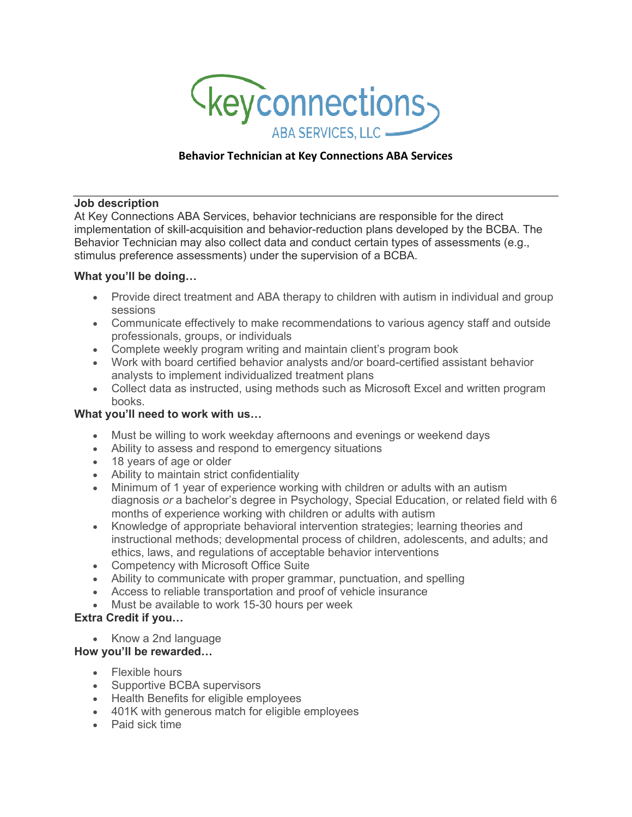

## **Behavior Technician at Key Connections ABA Services**

#### **Job description**

At Key Connections ABA Services, behavior technicians are responsible for the direct implementation of skill-acquisition and behavior-reduction plans developed by the BCBA. The Behavior Technician may also collect data and conduct certain types of assessments (e.g., stimulus preference assessments) under the supervision of a BCBA.

#### **What you'll be doing…**

- Provide direct treatment and ABA therapy to children with autism in individual and group sessions
- Communicate effectively to make recommendations to various agency staff and outside professionals, groups, or individuals
- Complete weekly program writing and maintain client's program book
- Work with board certified behavior analysts and/or board-certified assistant behavior analysts to implement individualized treatment plans
- Collect data as instructed, using methods such as Microsoft Excel and written program books.

### **What you'll need to work with us…**

- Must be willing to work weekday afternoons and evenings or weekend days
- Ability to assess and respond to emergency situations
- 18 years of age or older
- Ability to maintain strict confidentiality
- Minimum of 1 year of experience working with children or adults with an autism diagnosis *or* a bachelor's degree in Psychology, Special Education, or related field with 6 months of experience working with children or adults with autism
- Knowledge of appropriate behavioral intervention strategies; learning theories and instructional methods; developmental process of children, adolescents, and adults; and ethics, laws, and regulations of acceptable behavior interventions
- Competency with Microsoft Office Suite
- Ability to communicate with proper grammar, punctuation, and spelling
- Access to reliable transportation and proof of vehicle insurance
- Must be available to work 15-30 hours per week

# **Extra Credit if you…**

• Know a 2nd language

### **How you'll be rewarded…**

- Flexible hours
- Supportive BCBA supervisors
- Health Benefits for eligible employees
- 401K with generous match for eligible employees
- Paid sick time